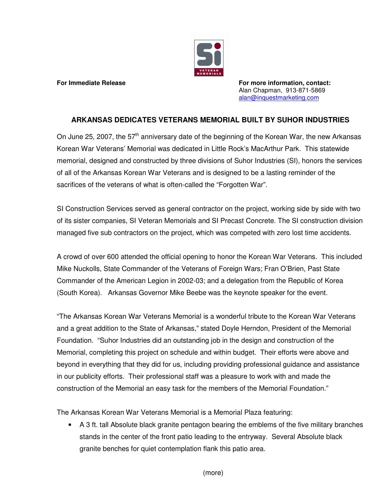

**For Immediate Release For more information, contact:** Alan Chapman, 913-871-5869 alan@inquestmarketing.com

## **ARKANSAS DEDICATES VETERANS MEMORIAL BUILT BY SUHOR INDUSTRIES**

On June 25, 2007, the 57<sup>th</sup> anniversary date of the beginning of the Korean War, the new Arkansas Korean War Veterans' Memorial was dedicated in Little Rock's MacArthur Park. This statewide memorial, designed and constructed by three divisions of Suhor Industries (SI), honors the services of all of the Arkansas Korean War Veterans and is designed to be a lasting reminder of the sacrifices of the veterans of what is often-called the "Forgotten War".

SI Construction Services served as general contractor on the project, working side by side with two of its sister companies, SI Veteran Memorials and SI Precast Concrete. The SI construction division managed five sub contractors on the project, which was competed with zero lost time accidents.

A crowd of over 600 attended the official opening to honor the Korean War Veterans. This included Mike Nuckolls, State Commander of the Veterans of Foreign Wars; Fran O'Brien, Past State Commander of the American Legion in 2002-03; and a delegation from the Republic of Korea (South Korea). Arkansas Governor Mike Beebe was the keynote speaker for the event.

"The Arkansas Korean War Veterans Memorial is a wonderful tribute to the Korean War Veterans and a great addition to the State of Arkansas," stated Doyle Herndon, President of the Memorial Foundation. "Suhor Industries did an outstanding job in the design and construction of the Memorial, completing this project on schedule and within budget. Their efforts were above and beyond in everything that they did for us, including providing professional guidance and assistance in our publicity efforts. Their professional staff was a pleasure to work with and made the construction of the Memorial an easy task for the members of the Memorial Foundation."

The Arkansas Korean War Veterans Memorial is a Memorial Plaza featuring:

• A 3 ft. tall Absolute black granite pentagon bearing the emblems of the five military branches stands in the center of the front patio leading to the entryway. Several Absolute black granite benches for quiet contemplation flank this patio area.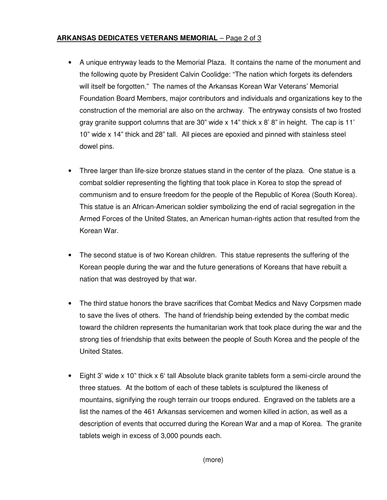## **ARKANSAS DEDICATES VETERANS MEMORIAL** – Page 2 of 3

- A unique entryway leads to the Memorial Plaza. It contains the name of the monument and the following quote by President Calvin Coolidge: "The nation which forgets its defenders will itself be forgotten." The names of the Arkansas Korean War Veterans' Memorial Foundation Board Members, major contributors and individuals and organizations key to the construction of the memorial are also on the archway. The entryway consists of two frosted gray granite support columns that are 30" wide  $\times$  14" thick  $\times$  8" 8" in height. The cap is 11' 10" wide x 14" thick and 28" tall. All pieces are epoxied and pinned with stainless steel dowel pins.
- Three larger than life-size bronze statues stand in the center of the plaza. One statue is a combat soldier representing the fighting that took place in Korea to stop the spread of communism and to ensure freedom for the people of the Republic of Korea (South Korea). This statue is an African-American soldier symbolizing the end of racial segregation in the Armed Forces of the United States, an American human-rights action that resulted from the Korean War.
- The second statue is of two Korean children. This statue represents the suffering of the Korean people during the war and the future generations of Koreans that have rebuilt a nation that was destroyed by that war.
- The third statue honors the brave sacrifices that Combat Medics and Navy Corpsmen made to save the lives of others. The hand of friendship being extended by the combat medic toward the children represents the humanitarian work that took place during the war and the strong ties of friendship that exits between the people of South Korea and the people of the United States.
- Eight 3' wide x 10" thick x 6' tall Absolute black granite tablets form a semi-circle around the three statues. At the bottom of each of these tablets is sculptured the likeness of mountains, signifying the rough terrain our troops endured. Engraved on the tablets are a list the names of the 461 Arkansas servicemen and women killed in action, as well as a description of events that occurred during the Korean War and a map of Korea. The granite tablets weigh in excess of 3,000 pounds each.